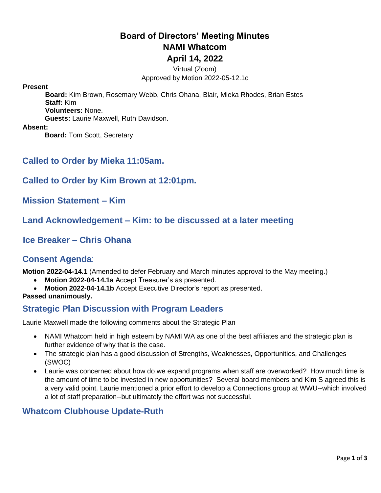# **Board of Directors' Meeting Minutes NAMI Whatcom April 14, 2022**

Virtual (Zoom) Approved by Motion 2022-05-12.1c

#### **Present**

**Board:** Kim Brown, Rosemary Webb, Chris Ohana, Blair, Mieka Rhodes, Brian Estes **Staff:** Kim **Volunteers:** None. **Guests:** Laurie Maxwell, Ruth Davidson.

#### **Absent:**

**Board:** Tom Scott, Secretary

# **Called to Order by Mieka 11:05am.**

### **Called to Order by Kim Brown at 12:01pm.**

**Mission Statement – Kim**

### **Land Acknowledgement – Kim: to be discussed at a later meeting**

#### **Ice Breaker – Chris Ohana**

### **Consent Agenda**:

**Motion 2022-04-14.1** (Amended to defer February and March minutes approval to the May meeting.)

- **Motion 2022-04-14.1a** Accept Treasurer's as presented.
- **Motion 2022-04-14.1b** Accept Executive Director's report as presented.

**Passed unanimously.**

### **Strategic Plan Discussion with Program Leaders**

Laurie Maxwell made the following comments about the Strategic Plan

- NAMI Whatcom held in high esteem by NAMI WA as one of the best affiliates and the strategic plan is further evidence of why that is the case.
- The strategic plan has a good discussion of Strengths, Weaknesses, Opportunities, and Challenges (SWOC)
- Laurie was concerned about how do we expand programs when staff are overworked? How much time is the amount of time to be invested in new opportunities? Several board members and Kim S agreed this is a very valid point. Laurie mentioned a prior effort to develop a Connections group at WWU--which involved a lot of staff preparation--but ultimately the effort was not successful.

### **Whatcom Clubhouse Update-Ruth**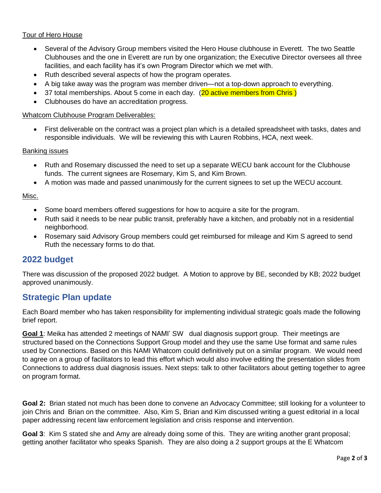#### Tour of Hero House

- Several of the Advisory Group members visited the Hero House clubhouse in Everett. The two Seattle Clubhouses and the one in Everett are run by one organization; the Executive Director oversees all three facilities, and each facility has it's own Program Director which we met with.
- Ruth described several aspects of how the program operates.
- A big take away was the program was member driven—not a top-down approach to everything.
- 37 total memberships. About 5 come in each day. (20 active members from Chris )
- Clubhouses do have an accreditation progress.

#### Whatcom Clubhouse Program Deliverables:

• First deliverable on the contract was a project plan which is a detailed spreadsheet with tasks, dates and responsible individuals. We will be reviewing this with Lauren Robbins, HCA, next week.

#### Banking issues

- Ruth and Rosemary discussed the need to set up a separate WECU bank account for the Clubhouse funds. The current signees are Rosemary, Kim S, and Kim Brown.
- A motion was made and passed unanimously for the current signees to set up the WECU account.

#### Misc.

- Some board members offered suggestions for how to acquire a site for the program.
- Ruth said it needs to be near public transit, preferably have a kitchen, and probably not in a residential neighborhood.
- Rosemary said Advisory Group members could get reimbursed for mileage and Kim S agreed to send Ruth the necessary forms to do that.

#### **2022 budget**

There was discussion of the proposed 2022 budget. A Motion to approve by BE, seconded by KB; 2022 budget approved unanimously.

# **Strategic Plan update**

Each Board member who has taken responsibility for implementing individual strategic goals made the following brief report.

**Goal 1**: Meika has attended 2 meetings of NAMI' SW dual diagnosis support group. Their meetings are structured based on the Connections Support Group model and they use the same Use format and same rules used by Connections. Based on this NAMI Whatcom could definitively put on a similar program. We would need to agree on a group of facilitators to lead this effort which would also involve editing the presentation slides from Connections to address dual diagnosis issues. Next steps: talk to other facilitators about getting together to agree on program format.

**Goal 2:** Brian stated not much has been done to convene an Advocacy Committee; still looking for a volunteer to join Chris and Brian on the committee. Also, Kim S, Brian and Kim discussed writing a guest editorial in a local paper addressing recent law enforcement legislation and crisis response and intervention.

**Goal 3**: Kim S stated she and Amy are already doing some of this. They are writing another grant proposal; getting another facilitator who speaks Spanish. They are also doing a 2 support groups at the E Whatcom